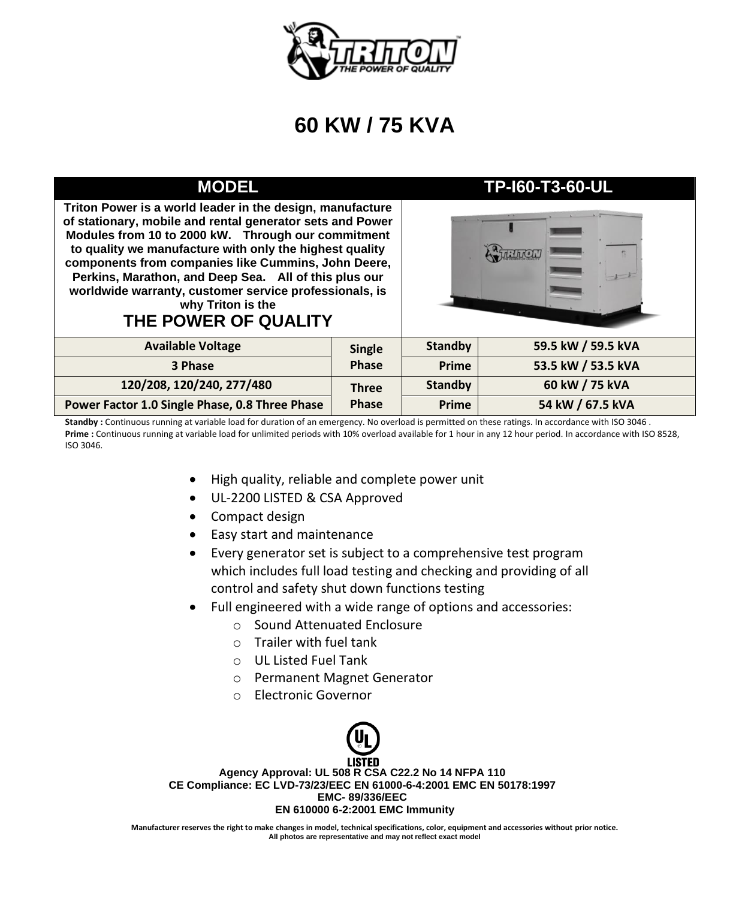

### **60 KW / 75 KVA**

**Triton Power is a world leader in the design, manufacture of stationary, mobile and rental generator sets and Power Modules from 10 to 2000 kW. Through our commitment to quality we manufacture with only the highest quality components from companies like Cummins, John Deere, Perkins, Marathon, and Deep Sea. All of this plus our worldwide warranty, customer service professionals, is why Triton is the** 

#### **THE POWER OF QUALITY**

#### **MODEL TP-I60-T3-60-UL**



| <b>Available Voltage</b>                       | <b>Single</b> | Standby        | 59.5 kW / 59.5 kVA |
|------------------------------------------------|---------------|----------------|--------------------|
| 3 Phase                                        | <b>Phase</b>  | Prime          | 53.5 kW / 53.5 kVA |
| 120/208, 120/240, 277/480                      | <b>Three</b>  | <b>Standby</b> | 60 kW / 75 kVA     |
| Power Factor 1.0 Single Phase, 0.8 Three Phase | <b>Phase</b>  | Prime          | 54 kW / 67.5 kVA   |
|                                                |               |                |                    |

**Standby :** Continuous running at variable load for duration of an emergency. No overload is permitted on these ratings. In accordance with ISO 3046 . **Prime :** Continuous running at variable load for unlimited periods with 10% overload available for 1 hour in any 12 hour period. In accordance with ISO 8528, ISO 3046.

- High quality, reliable and complete power unit
- UL-2200 LISTED & CSA Approved
- Compact design
- Easy start and maintenance
- Every generator set is subject to a comprehensive test program which includes full load testing and checking and providing of all control and safety shut down functions testing
- Full engineered with a wide range of options and accessories:
	- o Sound Attenuated Enclosure
	- $\circ$  Trailer with fuel tank
	- o UL Listed Fuel Tank
	- o Permanent Magnet Generator
	- o Electronic Governor



**Agency Approval: UL 508 R CSA C22.2 No 14 NFPA 110 CE Compliance: EC LVD-73/23/EEC EN 61000-6-4:2001 EMC EN 50178:1997 EMC- 89/336/EEC EN 610000 6-2:2001 EMC Immunity**

**Manufacturer reserves the right to make changes in model, technical specifications, color, equipment and accessories without prior notice. All photos are representative and may not reflect exact model**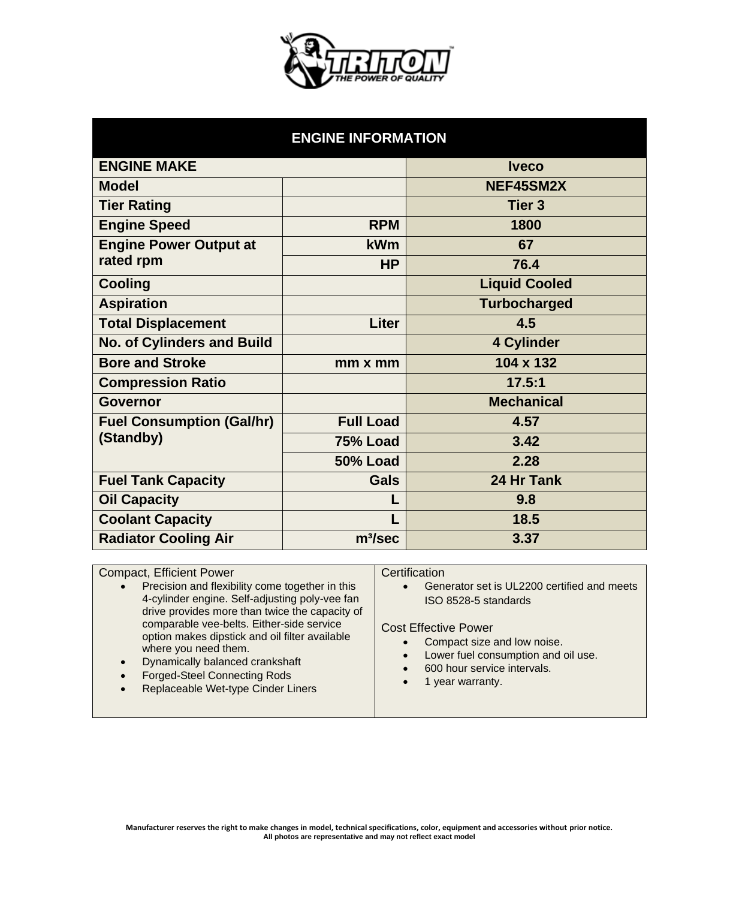

| <b>ENGINE INFORMATION</b>                     |                     |                      |  |  |  |
|-----------------------------------------------|---------------------|----------------------|--|--|--|
| <b>ENGINE MAKE</b>                            |                     | <b>Iveco</b>         |  |  |  |
| <b>Model</b>                                  |                     | NEF45SM2X            |  |  |  |
| <b>Tier Rating</b>                            |                     | <b>Tier 3</b>        |  |  |  |
| <b>Engine Speed</b>                           | <b>RPM</b>          | 1800                 |  |  |  |
| <b>Engine Power Output at</b><br>rated rpm    | kWm                 | 67                   |  |  |  |
|                                               | <b>HP</b>           | 76.4                 |  |  |  |
| <b>Cooling</b>                                |                     | <b>Liquid Cooled</b> |  |  |  |
| <b>Aspiration</b>                             |                     | <b>Turbocharged</b>  |  |  |  |
| <b>Total Displacement</b>                     | <b>Liter</b>        | 4.5                  |  |  |  |
| <b>No. of Cylinders and Build</b>             |                     | <b>4 Cylinder</b>    |  |  |  |
| <b>Bore and Stroke</b>                        | $mm \times mm$      | 104 x 132            |  |  |  |
| <b>Compression Ratio</b>                      |                     | 17.5:1               |  |  |  |
| <b>Governor</b>                               |                     | <b>Mechanical</b>    |  |  |  |
| <b>Fuel Consumption (Gal/hr)</b><br>(Standby) | <b>Full Load</b>    | 4.57                 |  |  |  |
|                                               | <b>75% Load</b>     | 3.42                 |  |  |  |
|                                               | <b>50% Load</b>     | 2.28                 |  |  |  |
| <b>Fuel Tank Capacity</b>                     | <b>Gals</b>         | 24 Hr Tank           |  |  |  |
| <b>Oil Capacity</b>                           |                     | 9.8                  |  |  |  |
| <b>Coolant Capacity</b>                       |                     | 18.5                 |  |  |  |
| <b>Radiator Cooling Air</b>                   | m <sup>3</sup> /sec | 3.37                 |  |  |  |

| <b>Compact, Efficient Power</b>                                                                                                                                                                                                                                                                                                                                                                                                   | Certification<br>Generator set is UL2200 certified and meets                                                                                                                 |
|-----------------------------------------------------------------------------------------------------------------------------------------------------------------------------------------------------------------------------------------------------------------------------------------------------------------------------------------------------------------------------------------------------------------------------------|------------------------------------------------------------------------------------------------------------------------------------------------------------------------------|
| Precision and flexibility come together in this<br>$\bullet$<br>4-cylinder engine. Self-adjusting poly-vee fan<br>drive provides more than twice the capacity of<br>comparable vee-belts. Either-side service<br>option makes dipstick and oil filter available<br>where you need them.<br>Dynamically balanced crankshaft<br>$\bullet$<br><b>Forged-Steel Connecting Rods</b><br>$\bullet$<br>Replaceable Wet-type Cinder Liners | ISO 8528-5 standards<br><b>Cost Effective Power</b><br>Compact size and low noise.<br>Lower fuel consumption and oil use.<br>600 hour service intervals.<br>1 year warranty. |
|                                                                                                                                                                                                                                                                                                                                                                                                                                   |                                                                                                                                                                              |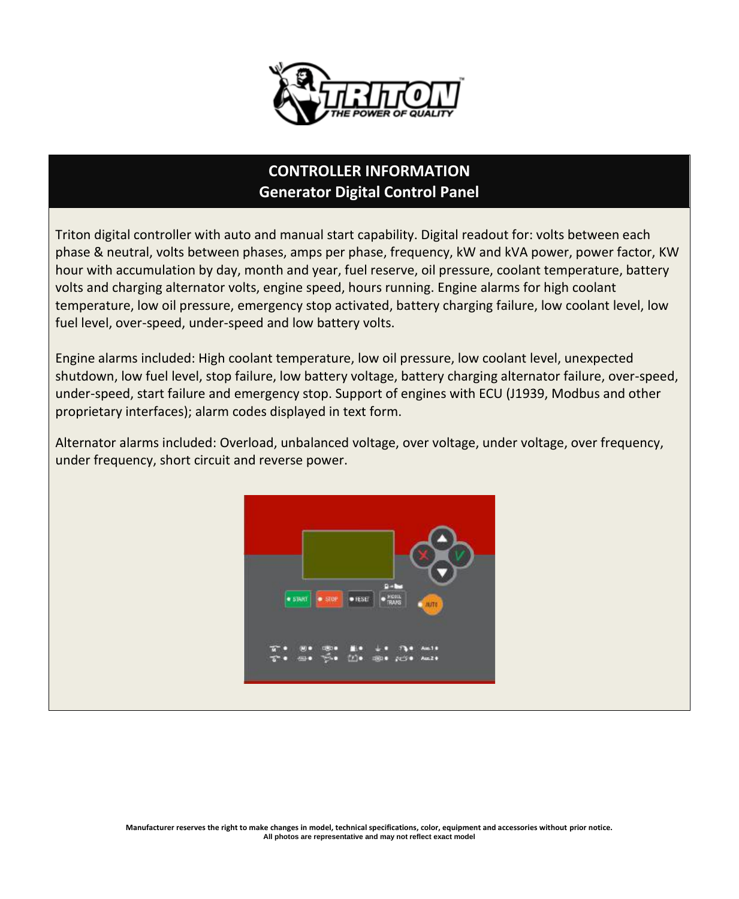

#### **CONTROLLER INFORMATION Generator Digital Control Panel**

Triton digital controller with auto and manual start capability. Digital readout for: volts between each phase & neutral, volts between phases, amps per phase, frequency, kW and kVA power, power factor, KW hour with accumulation by day, month and year, fuel reserve, oil pressure, coolant temperature, battery volts and charging alternator volts, engine speed, hours running. Engine alarms for high coolant temperature, low oil pressure, emergency stop activated, battery charging failure, low coolant level, low fuel level, over-speed, under-speed and low battery volts.

Engine alarms included: High coolant temperature, low oil pressure, low coolant level, unexpected shutdown, low fuel level, stop failure, low battery voltage, battery charging alternator failure, over-speed, under-speed, start failure and emergency stop. Support of engines with ECU (J1939, Modbus and other proprietary interfaces); alarm codes displayed in text form.

Alternator alarms included: Overload, unbalanced voltage, over voltage, under voltage, over frequency, under frequency, short circuit and reverse power.

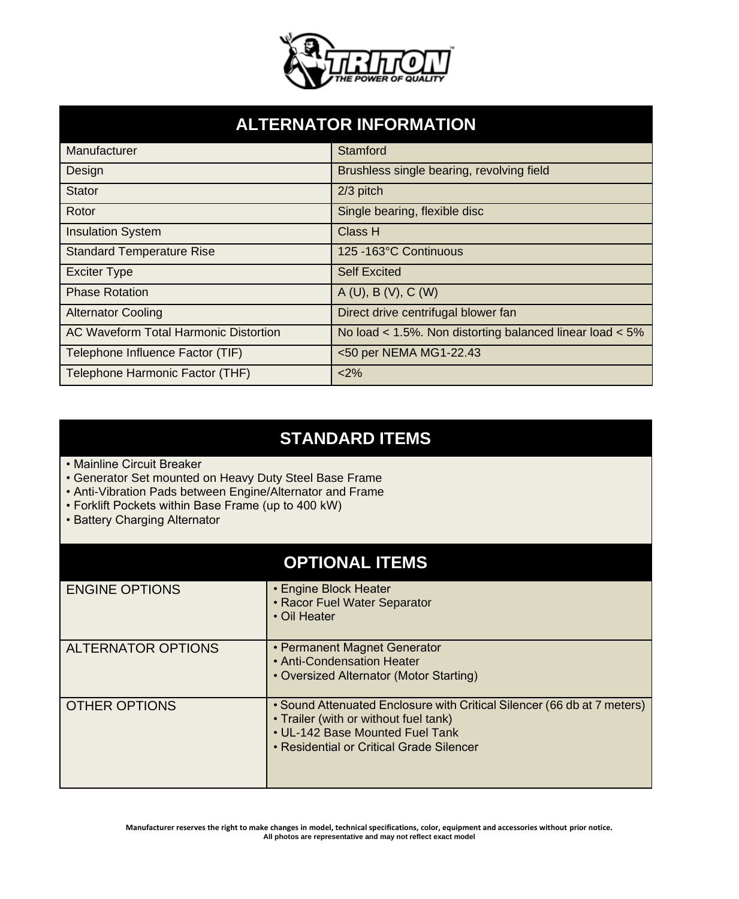

#### **ALTERNATOR INFORMATION**

| Manufacturer                          | Stamford                                                 |
|---------------------------------------|----------------------------------------------------------|
| Design                                | Brushless single bearing, revolving field                |
| <b>Stator</b>                         | $2/3$ pitch                                              |
| Rotor                                 | Single bearing, flexible disc                            |
| <b>Insulation System</b>              | <b>Class H</b>                                           |
| <b>Standard Temperature Rise</b>      | 125 - 163°C Continuous                                   |
| <b>Exciter Type</b>                   | <b>Self Excited</b>                                      |
| <b>Phase Rotation</b>                 | A(U), B(V), C(W)                                         |
| <b>Alternator Cooling</b>             | Direct drive centrifugal blower fan                      |
| AC Waveform Total Harmonic Distortion | No load < 1.5%. Non distorting balanced linear load < 5% |
| Telephone Influence Factor (TIF)      | <50 per NEMA MG1-22.43                                   |
| Telephone Harmonic Factor (THF)       | $2\%$                                                    |

#### **STANDARD ITEMS**

- Mainline Circuit Breaker
- Generator Set mounted on Heavy Duty Steel Base Frame
- Anti-Vibration Pads between Engine/Alternator and Frame
- Forklift Pockets within Base Frame (up to 400 kW)
- Battery Charging Alternator

#### **OPTIONAL ITEMS**

| <b>ENGINE OPTIONS</b>     | • Engine Block Heater<br>• Racor Fuel Water Separator<br>• Oil Heater                                                                                                                           |
|---------------------------|-------------------------------------------------------------------------------------------------------------------------------------------------------------------------------------------------|
| <b>ALTERNATOR OPTIONS</b> | • Permanent Magnet Generator<br>• Anti-Condensation Heater<br>• Oversized Alternator (Motor Starting)                                                                                           |
| <b>OTHER OPTIONS</b>      | • Sound Attenuated Enclosure with Critical Silencer (66 db at 7 meters)<br>• Trailer (with or without fuel tank)<br>• UL-142 Base Mounted Fuel Tank<br>• Residential or Critical Grade Silencer |

**Manufacturer reserves the right to make changes in model, technical specifications, color, equipment and accessories without prior notice. All photos are representative and may not reflect exact model**